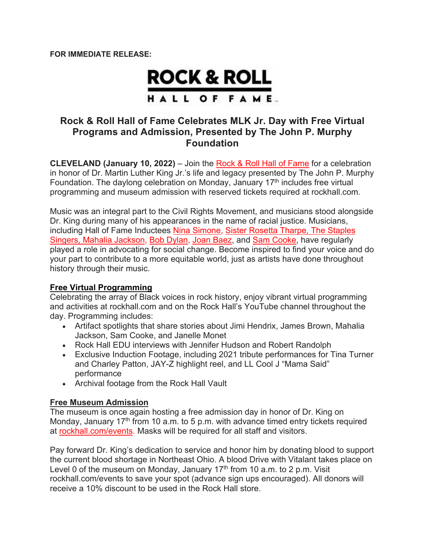# **ROCK & ROLL** HALL OF FAME.

## **Rock & Roll Hall of Fame Celebrates MLK Jr. Day with Free Virtual Programs and Admission, Presented by The John P. Murphy Foundation**

**CLEVELAND (January 10, 2022)** – Join the Rock & Roll Hall of Fame for a celebration in honor of Dr. Martin Luther King Jr.'s life and legacy presented by The John P. Murphy Foundation. The daylong celebration on Monday, January  $17<sup>th</sup>$  includes free virtual programming and museum admission with reserved tickets required at rockhall.com.

Music was an integral part to the Civil Rights Movement, and musicians stood alongside Dr. King during many of his appearances in the name of racial justice. Musicians, including Hall of Fame Inductees Nina Simone, Sister Rosetta Tharpe, The Staples Singers, Mahalia Jackson, Bob Dylan, Joan Baez, and Sam Cooke, have regularly played a role in advocating for social change. Become inspired to find your voice and do your part to contribute to a more equitable world, just as artists have done throughout history through their music.

#### **Free Virtual Programming**

Celebrating the array of Black voices in rock history, enjoy vibrant virtual programming and activities at rockhall.com and on the Rock Hall's YouTube channel throughout the day. Programming includes:

- Artifact spotlights that share stories about Jimi Hendrix, James Brown, Mahalia Jackson, Sam Cooke, and Janelle Monet
- Rock Hall EDU interviews with Jennifer Hudson and Robert Randolph
- Exclusive Induction Footage, including 2021 tribute performances for Tina Turner and Charley Patton, JAY-Z highlight reel, and LL Cool J "Mama Said" performance
- Archival footage from the Rock Hall Vault

#### **Free Museum Admission**

The museum is once again hosting a free admission day in honor of Dr. King on Monday, January  $17<sup>th</sup>$  from 10 a.m. to 5 p.m. with advance timed entry tickets required at rockhall.com/events. Masks will be required for all staff and visitors.

Pay forward Dr. King's dedication to service and honor him by donating blood to support the current blood shortage in Northeast Ohio. A blood Drive with Vitalant takes place on Level 0 of the museum on Monday, January  $17<sup>th</sup>$  from 10 a.m. to 2 p.m. Visit rockhall.com/events to save your spot (advance sign ups encouraged). All donors will receive a 10% discount to be used in the Rock Hall store.